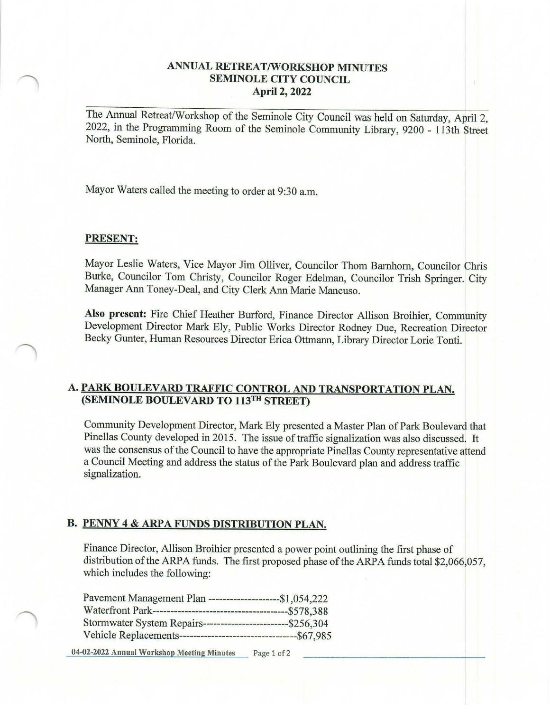## **ANNUAL RETREAT/WORKSHOP MINUTES SEMINOLE CITY COUNCIL April 2, 2022**

The Annual Retreat/Workshop of the Seminole City Council was held on Saturday, April 2, 2022, in the Programming Room of the Seminole Community Library, 9200 - 113th Street North, Seminole, Florida.

Mayor Waters called the meeting to order at 9:30 a.m.

#### **PRESENT:**

Mayor Leslie Waters, Vice Mayor Jim Olliver, Councilor Thom Bamhorn, Councilor Chris Burke, Councilor Tom Christy, Councilor Roger Edelman, Councilor Trish Springer. City Manager Ann Toney-Deal, and City Clerk Ann Marie Mancuso.

**Also present:** Fire Chief Heather Burford, Finance Director Allison Broihier, Community Development Director Mark Ely, Public Works Director Rodney Due, Recreation Director Becky Gunter, Human Resources Director Erica Ottmann, Library Director Lorie Tonti.

## **A. PARK BOULEVARD TRAFFIC CONTROL AND TRANSPORTATION PLAN. (SEMINOLE BOULEVARD TO 113™ STREET)**

Community Development Director, Mark Ely presented a Master Plan of Park Boulevard that Pinellas County developed in 2015. The issue of traffic signalization was also discussed. It was the consensus of the Council to have the appropriate Pinellas County representative attend a Council Meeting and address the status of the Park Boulevard plan and address traffic signalization.

#### **B. PENNY 4 & ARPA FUNDS DISTRIBUTION PLAN.**

Finance Director, Allison Broihier presented a power point outlining the first phase of distribution of the ARPA funds. The first proposed phase of the ARPA funds total \$2,066,057, which includes the following:

| Pavement Management Plan --                                   | $-51,054,222$ |
|---------------------------------------------------------------|---------------|
| Waterfront Park----------------------------------             | $- $578,388$  |
| Stormwater System Repairs---------------------------\$256,304 |               |
| Vehicle Replacements----------------                          | $-567,985$    |

**04-02-2022 Annual Workshop Meeting Minutes** Page 1 of2